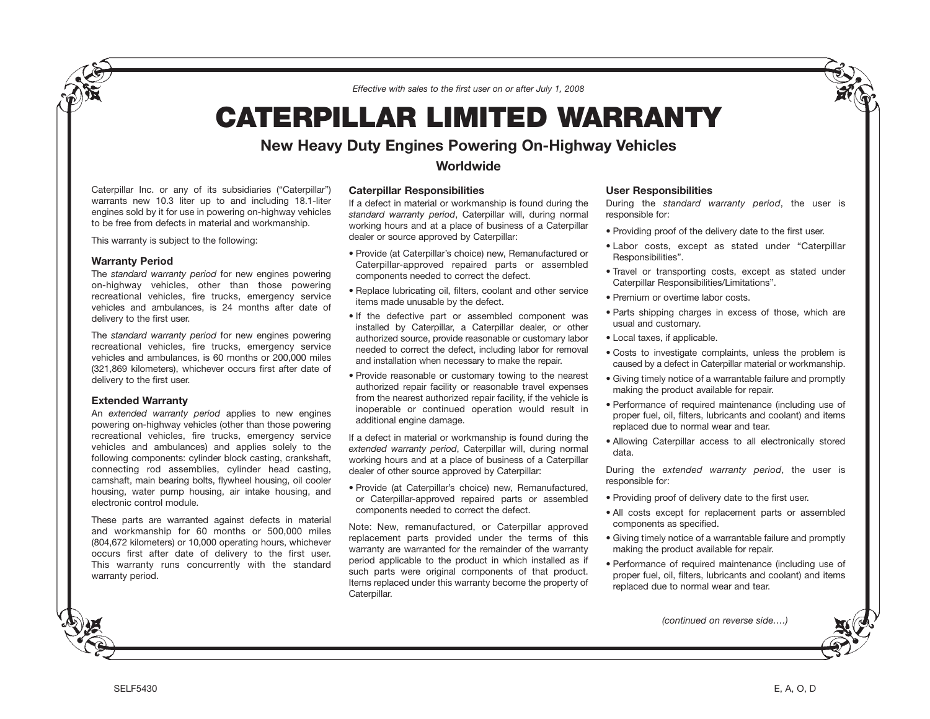*Effective with sales to the first user on or after July 1, 2008*

# **CATERPILLAR LIMITED WARRANTY**

## **New Heavy Duty Engines Powering On-Highway Vehicles Worldwide**

### Caterpillar Inc. or any of its subsidiaries ("Caterpillar") warrants new 10.3 liter up to and including 18.1-liter engines sold by it for use in powering on-highway vehicles to be free from defects in material and workmanship.

This warranty is subject to the following:

### **Warranty Period**

The *standard warranty period* for new engines powering on-highway vehicles, other than those powering recreational vehicles, fire trucks, emergency service vehicles and ambulances, is 24 months after date of delivery to the first user.

The *standard warranty period* for new engines powering recreational vehicles, fire trucks, emergency service vehicles and ambulances, is 60 months or 200,000 miles (321,869 kilometers), whichever occurs first after date of delivery to the first user.

### **Extended Warranty**

An *extended warranty period* applies to new engines powering on-highway vehicles (other than those powering recreational vehicles, fire trucks, emergency service vehicles and ambulances) and applies solely to the following components: cylinder block casting, crankshaft, connecting rod assemblies, cylinder head casting, camshaft, main bearing bolts, flywheel housing, oil cooler housing, water pump housing, air intake housing, and electronic control module.

These parts are warranted against defects in material and workmanship for 60 months or 500,000 miles (804,672 kilometers) or 10,000 operating hours, whichever occurs first after date of delivery to the first user. This warranty runs concurrently with the standard warranty period.

**Caterpillar Responsibilities** If a defect in material or workmanship is found during the *standard warranty period*, Caterpillar will, during normal working hours and at a place of business of a Caterpillar dealer or source approved by Caterpillar:

- Provide (at Caterpillar's choice) new, Remanufactured or Caterpillar-approved repaired parts or assembled components needed to correct the defect.
- Replace lubricating oil, filters, coolant and other service items made unusable by the defect.
- If the defective part or assembled component was installed by Caterpillar, a Caterpillar dealer, or other authorized source, provide reasonable or customary labor needed to correct the defect, including labor for removal and installation when necessary to make the repair.
- Provide reasonable or customary towing to the nearest authorized repair facility or reasonable travel expenses from the nearest authorized repair facility, if the vehicle is inoperable or continued operation would result in additional engine damage.

If a defect in material or workmanship is found during the *extended warranty period*, Caterpillar will, during normal working hours and at a place of business of a Caterpillar dealer of other source approved by Caterpillar:

• Provide (at Caterpillar's choice) new, Remanufactured, or Caterpillar-approved repaired parts or assembled components needed to correct the defect.

Note: New, remanufactured, or Caterpillar approved replacement parts provided under the terms of this warranty are warranted for the remainder of the warranty period applicable to the product in which installed as if such parts were original components of that product. Items replaced under this warranty become the property of Caterpillar.

### **User Responsibilities**

During the *standard warranty period*, the user is responsible for:

- Providing proof of the delivery date to the first user.
- Labor costs, except as stated under "Caterpillar Responsibilities".
- Travel or transporting costs, except as stated under Caterpillar Responsibilities/Limitations".
- Premium or overtime labor costs.
- Parts shipping charges in excess of those, which are usual and customary.
- Local taxes, if applicable.
- Costs to investigate complaints, unless the problem is caused by a defect in Caterpillar material or workmanship.
- Giving timely notice of a warrantable failure and promptly making the product available for repair.
- Performance of required maintenance (including use of proper fuel, oil, filters, lubricants and coolant) and items replaced due to normal wear and tear.
- Allowing Caterpillar access to all electronically stored data.

During the *extended warranty period*, the user is responsible for:

- Providing proof of delivery date to the first user.
- All costs except for replacement parts or assembled components as specified.
- Giving timely notice of a warrantable failure and promptly making the product available for repair.
- Performance of required maintenance (including use of proper fuel, oil, filters, lubricants and coolant) and items replaced due to normal wear and tear.

*(continued on reverse side….)*